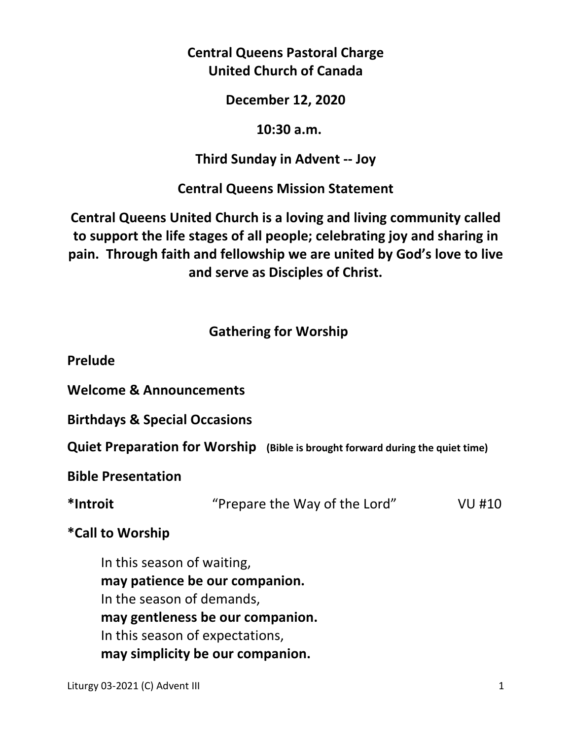**Central Queens Pastoral Charge United Church of Canada** 

**December 12, 2020** 

#### **10:30 a.m.**

### **Third Sunday in Advent -- Joy**

**Central Queens Mission Statement** 

**Central Queens United Church is a loving and living community called to support the life stages of all people; celebrating joy and sharing in pain. Through faith and fellowship we are united by God's love to live and serve as Disciples of Christ.**

## **Gathering for Worship**

**Prelude** 

**Welcome & Announcements** 

**Birthdays & Special Occasions** 

**Quiet Preparation for Worship (Bible is brought forward during the quiet time)** 

**Bible Presentation** 

**\*Introit** "Prepare the Way of the Lord" VU #10

## **\*Call to Worship**

 In this season of waiting,  **may patience be our companion.**  In the season of demands,  **may gentleness be our companion.**  In this season of expectations,  **may simplicity be our companion.**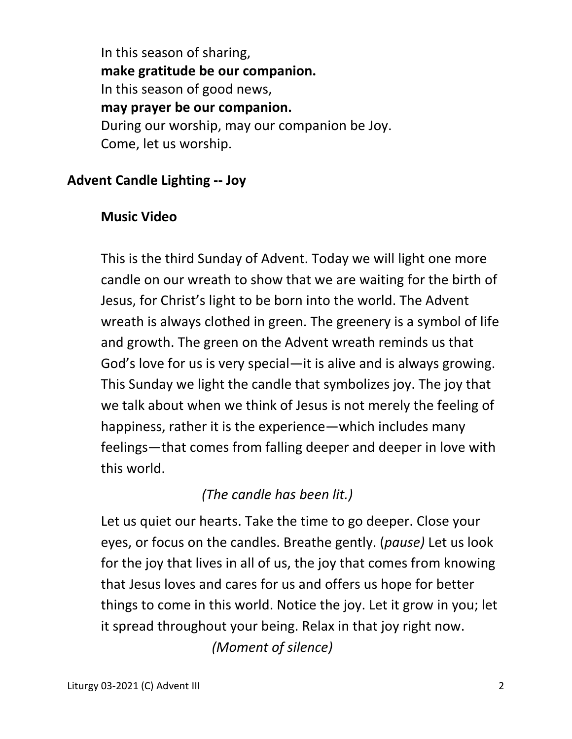In this season of sharing,  **make gratitude be our companion.**  In this season of good news,  **may prayer be our companion.**  During our worship, may our companion be Joy. Come, let us worship.

### **Advent Candle Lighting -- Joy**

#### **Music Video**

 This is the third Sunday of Advent. Today we will light one more candle on our wreath to show that we are waiting for the birth of Jesus, for Christ's light to be born into the world. The Advent wreath is always clothed in green. The greenery is a symbol of life and growth. The green on the Advent wreath reminds us that God's love for us is very special—it is alive and is always growing. This Sunday we light the candle that symbolizes joy. The joy that we talk about when we think of Jesus is not merely the feeling of happiness, rather it is the experience—which includes many feelings—that comes from falling deeper and deeper in love with this world.

# *(The candle has been lit.)*

 Let us quiet our hearts. Take the time to go deeper. Close your eyes, or focus on the candles. Breathe gently. (*pause)* Let us look for the joy that lives in all of us, the joy that comes from knowing that Jesus loves and cares for us and offers us hope for better things to come in this world. Notice the joy. Let it grow in you; let it spread throughout your being. Relax in that joy right now. *(Moment of silence)*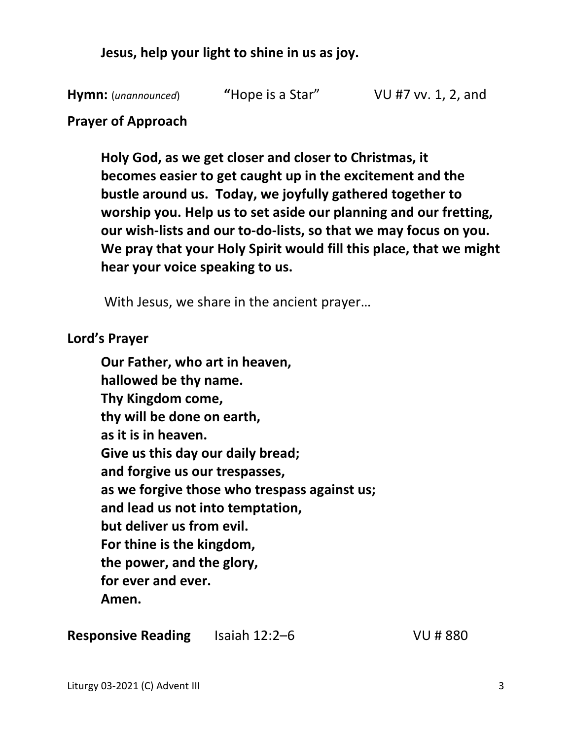**Jesus, help your light to shine in us as joy.** 

**Hymn:** (*unannounced*) **"**Hope is a Star" VU #7 vv. 1, 2, and

#### **Prayer of Approach**

 **Holy God, as we get closer and closer to Christmas, it becomes easier to get caught up in the excitement and the bustle around us. Today, we joyfully gathered together to worship you. Help us to set aside our planning and our fretting, our wish-lists and our to-do-lists, so that we may focus on you. We pray that your Holy Spirit would fill this place, that we might hear your voice speaking to us.** 

With Jesus, we share in the ancient prayer…

#### **Lord's Prayer**

**Our Father, who art in heaven, hallowed be thy name. Thy Kingdom come, thy will be done on earth, as it is in heaven. Give us this day our daily bread; and forgive us our trespasses, as we forgive those who trespass against us; and lead us not into temptation, but deliver us from evil. For thine is the kingdom, the power, and the glory, for ever and ever. Amen.** 

**Responsive Reading** Isaiah 12:2–6 VU # 880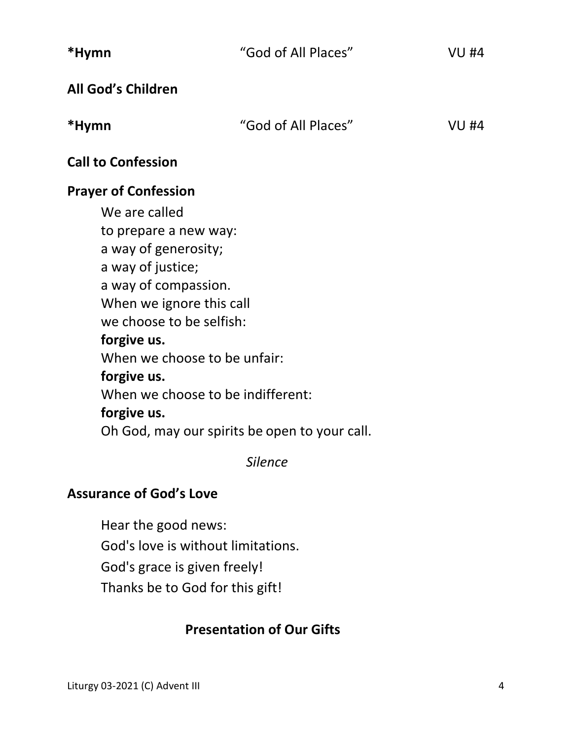| *Hymn                             | "God of All Places"                           | <b>VU #4</b> |  |  |
|-----------------------------------|-----------------------------------------------|--------------|--|--|
| All God's Children                |                                               |              |  |  |
| *Hymn                             | "God of All Places"                           | <b>VU #4</b> |  |  |
| <b>Call to Confession</b>         |                                               |              |  |  |
| <b>Prayer of Confession</b>       |                                               |              |  |  |
| We are called                     |                                               |              |  |  |
| to prepare a new way:             |                                               |              |  |  |
| a way of generosity;              |                                               |              |  |  |
| a way of justice;                 |                                               |              |  |  |
| a way of compassion.              |                                               |              |  |  |
| When we ignore this call          |                                               |              |  |  |
| we choose to be selfish:          |                                               |              |  |  |
| forgive us.                       |                                               |              |  |  |
| When we choose to be unfair:      |                                               |              |  |  |
| forgive us.                       |                                               |              |  |  |
| When we choose to be indifferent: |                                               |              |  |  |
| forgive us.                       |                                               |              |  |  |
|                                   | Oh God, may our spirits be open to your call. |              |  |  |
|                                   | Silence                                       |              |  |  |

## **Assurance of God's Love**

Hear the good news: God's love is without limitations. God's grace is given freely! Thanks be to God for this gift!

# **Presentation of Our Gifts**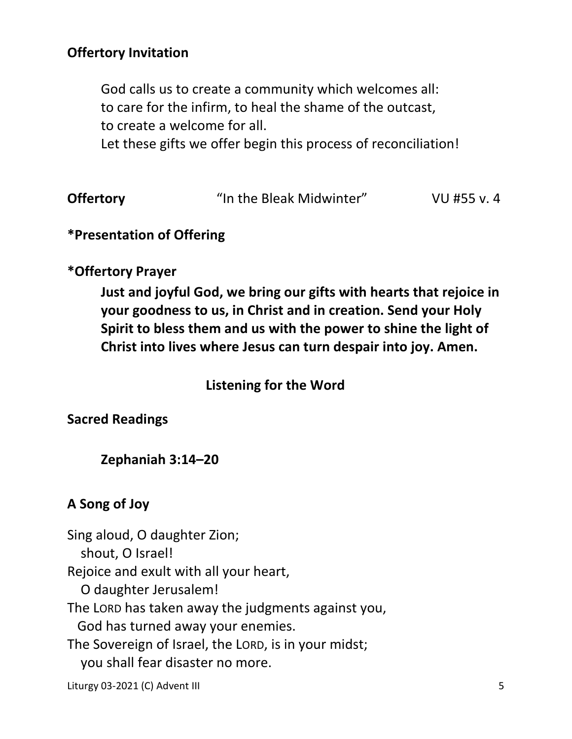## **Offertory Invitation**

God calls us to create a community which welcomes all: to care for the infirm, to heal the shame of the outcast, to create a welcome for all.

Let these gifts we offer begin this process of reconciliation!

|  | <b>Offertory</b> | "In the Bleak Midwinter" | VU #55 v. 4 |
|--|------------------|--------------------------|-------------|
|--|------------------|--------------------------|-------------|

### **\*Presentation of Offering**

#### **\*Offertory Prayer**

**Just and joyful God, we bring our gifts with hearts that rejoice in your goodness to us, in Christ and in creation. Send your Holy Spirit to bless them and us with the power to shine the light of Christ into lives where Jesus can turn despair into joy. Amen.** 

### **Listening for the Word**

**Sacred Readings** 

#### **Zephaniah 3:14–20**

#### **A Song of Joy**

Sing aloud, O daughter Zion; shout, O Israel! Rejoice and exult with all your heart, O daughter Jerusalem! The LORD has taken away the judgments against you, God has turned away your enemies. The Sovereign of Israel, the LORD, is in your midst; you shall fear disaster no more.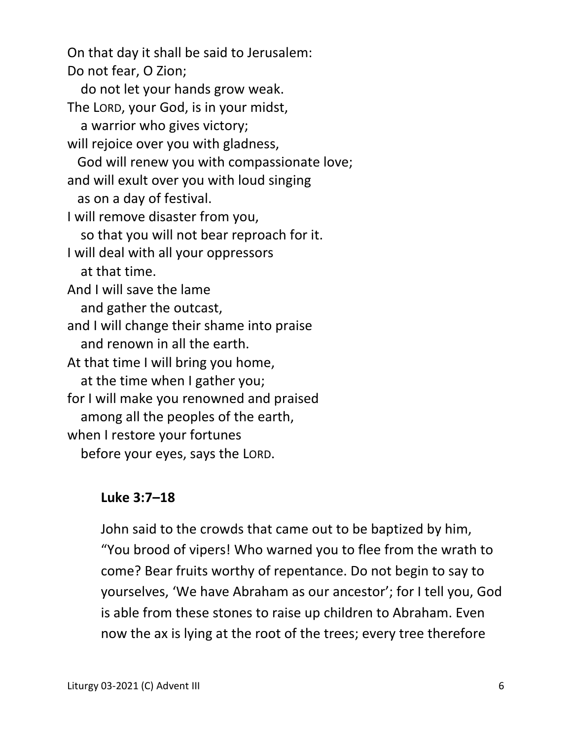On that day it shall be said to Jerusalem: Do not fear, O Zion; do not let your hands grow weak. The LORD, your God, is in your midst, a warrior who gives victory; will rejoice over you with gladness, God will renew you with compassionate love; and will exult over you with loud singing as on a day of festival. I will remove disaster from you, so that you will not bear reproach for it. I will deal with all your oppressors at that time. And I will save the lame and gather the outcast, and I will change their shame into praise and renown in all the earth. At that time I will bring you home, at the time when I gather you; for I will make you renowned and praised among all the peoples of the earth, when I restore your fortunes before your eyes, says the LORD.

#### **Luke 3:7–18**

John said to the crowds that came out to be baptized by him, "You brood of vipers! Who warned you to flee from the wrath to come? Bear fruits worthy of repentance. Do not begin to say to yourselves, 'We have Abraham as our ancestor'; for I tell you, God is able from these stones to raise up children to Abraham. Even now the ax is lying at the root of the trees; every tree therefore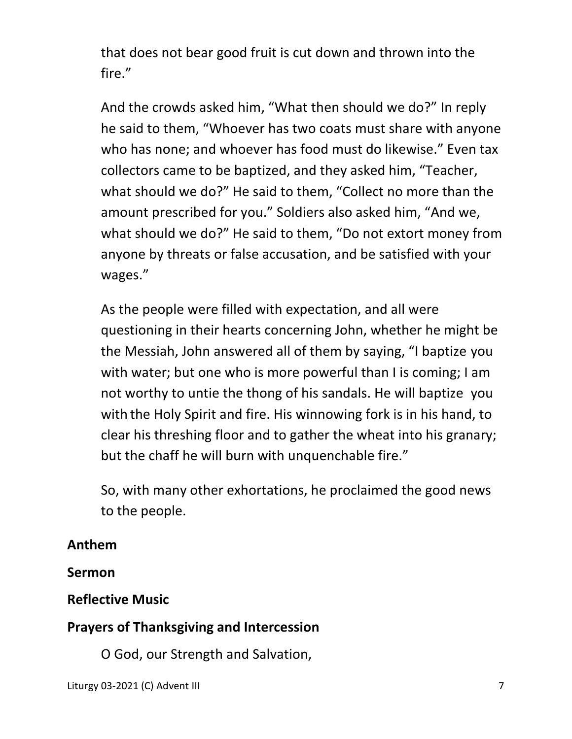that does not bear good fruit is cut down and thrown into the fire."

And the crowds asked him, "What then should we do?" In reply he said to them, "Whoever has two coats must share with anyone who has none; and whoever has food must do likewise." Even tax collectors came to be baptized, and they asked him, "Teacher, what should we do?" He said to them, "Collect no more than the amount prescribed for you." Soldiers also asked him, "And we, what should we do?" He said to them, "Do not extort money from anyone by threats or false accusation, and be satisfied with your wages."

As the people were filled with expectation, and all were questioning in their hearts concerning John, whether he might be the Messiah, John answered all of them by saying, "I baptize you with water; but one who is more powerful than I is coming; I am not worthy to untie the thong of his sandals. He will baptize you with the Holy Spirit and fire. His winnowing fork is in his hand, to clear his threshing floor and to gather the wheat into his granary; but the chaff he will burn with unquenchable fire."

So, with many other exhortations, he proclaimed the good news to the people.

## **Anthem**

# **Sermon**

# **Reflective Music**

# **Prayers of Thanksgiving and Intercession**

O God, our Strength and Salvation,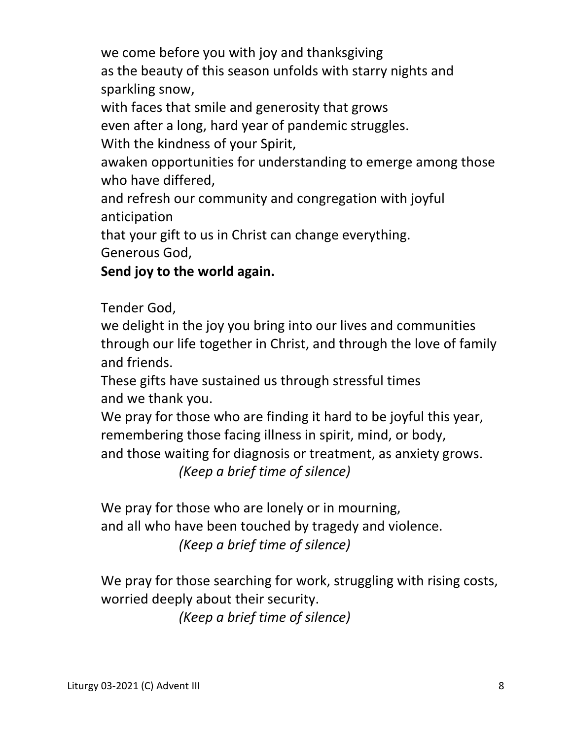we come before you with joy and thanksgiving

 as the beauty of this season unfolds with starry nights and sparkling snow,

with faces that smile and generosity that grows

even after a long, hard year of pandemic struggles.

With the kindness of your Spirit,

 awaken opportunities for understanding to emerge among those who have differed,

 and refresh our community and congregation with joyful anticipation

that your gift to us in Christ can change everything.

Generous God,

 **Send joy to the world again.** 

Tender God,

 we delight in the joy you bring into our lives and communities through our life together in Christ, and through the love of family and friends.

 These gifts have sustained us through stressful times and we thank you.

 We pray for those who are finding it hard to be joyful this year, remembering those facing illness in spirit, mind, or body, and those waiting for diagnosis or treatment, as anxiety grows.  *(Keep a brief time of silence)* 

We pray for those who are lonely or in mourning, and all who have been touched by tragedy and violence.  *(Keep a brief time of silence)* 

 We pray for those searching for work, struggling with rising costs, worried deeply about their security.

 *(Keep a brief time of silence)*